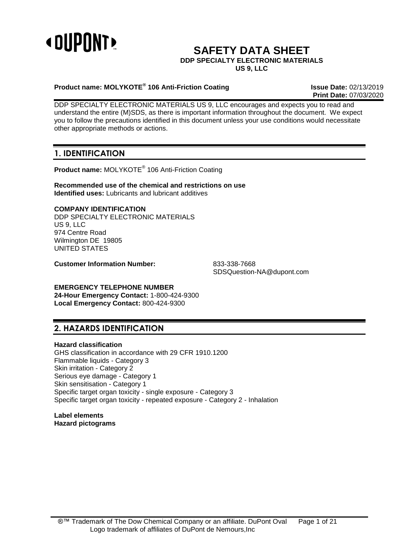

# **SAFETY DATA SHEET**

#### **DDP SPECIALTY ELECTRONIC MATERIALS**

**US 9, LLC**

### **Product name: MOLYKOTE® 106 Anti-Friction Coating Issue Date:** 02/13/2019

**Print Date:** 07/03/2020

DDP SPECIALTY ELECTRONIC MATERIALS US 9, LLC encourages and expects you to read and understand the entire (M)SDS, as there is important information throughout the document. We expect you to follow the precautions identified in this document unless your use conditions would necessitate other appropriate methods or actions.

# **1. IDENTIFICATION**

**Product name:** MOLYKOTE® 106 Anti-Friction Coating

**Recommended use of the chemical and restrictions on use Identified uses:** Lubricants and lubricant additives

## **COMPANY IDENTIFICATION**

DDP SPECIALTY ELECTRONIC MATERIALS US 9, LLC 974 Centre Road Wilmington DE 19805 UNITED STATES

**Customer Information Number:** 833-338-7668

SDSQuestion-NA@dupont.com

# **EMERGENCY TELEPHONE NUMBER**

**24-Hour Emergency Contact:** 1-800-424-9300 **Local Emergency Contact:** 800-424-9300

# **2. HAZARDS IDENTIFICATION**

### **Hazard classification**

GHS classification in accordance with 29 CFR 1910.1200 Flammable liquids - Category 3 Skin irritation - Category 2 Serious eye damage - Category 1 Skin sensitisation - Category 1 Specific target organ toxicity - single exposure - Category 3 Specific target organ toxicity - repeated exposure - Category 2 - Inhalation

**Label elements Hazard pictograms**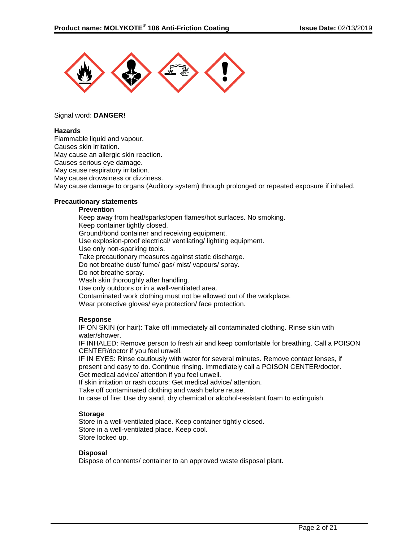

#### Signal word: **DANGER!**

#### **Hazards**

Flammable liquid and vapour. Causes skin irritation. May cause an allergic skin reaction. Causes serious eye damage. May cause respiratory irritation. May cause drowsiness or dizziness. May cause damage to organs (Auditory system) through prolonged or repeated exposure if inhaled.

#### **Precautionary statements**

#### **Prevention**

Keep away from heat/sparks/open flames/hot surfaces. No smoking. Keep container tightly closed. Ground/bond container and receiving equipment. Use explosion-proof electrical/ ventilating/ lighting equipment. Use only non-sparking tools. Take precautionary measures against static discharge. Do not breathe dust/ fume/ gas/ mist/ vapours/ spray. Do not breathe spray. Wash skin thoroughly after handling. Use only outdoors or in a well-ventilated area. Contaminated work clothing must not be allowed out of the workplace. Wear protective gloves/ eye protection/ face protection.

#### **Response**

IF ON SKIN (or hair): Take off immediately all contaminated clothing. Rinse skin with water/shower.

IF INHALED: Remove person to fresh air and keep comfortable for breathing. Call a POISON CENTER/doctor if you feel unwell.

IF IN EYES: Rinse cautiously with water for several minutes. Remove contact lenses, if present and easy to do. Continue rinsing. Immediately call a POISON CENTER/doctor. Get medical advice/ attention if you feel unwell.

If skin irritation or rash occurs: Get medical advice/ attention.

Take off contaminated clothing and wash before reuse.

In case of fire: Use dry sand, dry chemical or alcohol-resistant foam to extinguish.

#### **Storage**

Store in a well-ventilated place. Keep container tightly closed. Store in a well-ventilated place. Keep cool. Store locked up.

#### **Disposal**

Dispose of contents/ container to an approved waste disposal plant.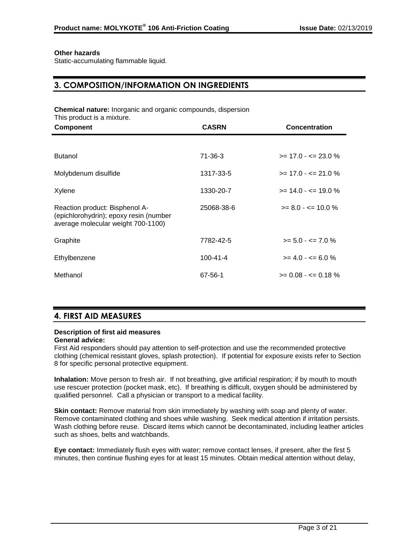#### **Other hazards**

Static-accumulating flammable liquid.

# **3. COMPOSITION/INFORMATION ON INGREDIENTS**

**Chemical nature:** Inorganic and organic compounds, dispersion This product is a mixture.

| <b>Component</b>                                                                                               | <b>CASRN</b>   | <b>Concentration</b>    |
|----------------------------------------------------------------------------------------------------------------|----------------|-------------------------|
|                                                                                                                |                |                         |
| <b>Butanol</b>                                                                                                 | $71 - 36 - 3$  | $>= 17.0 - 23.0 %$      |
| Molybdenum disulfide                                                                                           | 1317-33-5      | $>= 17.0 - 5 = 21.0 \%$ |
| Xylene                                                                                                         | 1330-20-7      | $>= 14.0 - \le 19.0 \%$ |
| Reaction product: Bisphenol A-<br>(epichlorohydrin); epoxy resin (number<br>average molecular weight 700-1100) | 25068-38-6     | $>= 8.0 - \le 10.0 \%$  |
| Graphite                                                                                                       | 7782-42-5      | $>= 5.0 - \le 7.0 \%$   |
| Ethylbenzene                                                                                                   | $100 - 41 - 4$ | $>= 4.0 - \le 6.0 \%$   |
| Methanol                                                                                                       | 67-56-1        | $>= 0.08 - \le 0.18 \%$ |

# **4. FIRST AID MEASURES**

# **Description of first aid measures**

#### **General advice:**

First Aid responders should pay attention to self-protection and use the recommended protective clothing (chemical resistant gloves, splash protection). If potential for exposure exists refer to Section 8 for specific personal protective equipment.

**Inhalation:** Move person to fresh air. If not breathing, give artificial respiration; if by mouth to mouth use rescuer protection (pocket mask, etc). If breathing is difficult, oxygen should be administered by qualified personnel. Call a physician or transport to a medical facility.

**Skin contact:** Remove material from skin immediately by washing with soap and plenty of water. Remove contaminated clothing and shoes while washing. Seek medical attention if irritation persists. Wash clothing before reuse. Discard items which cannot be decontaminated, including leather articles such as shoes, belts and watchbands.

**Eye contact:** Immediately flush eyes with water; remove contact lenses, if present, after the first 5 minutes, then continue flushing eyes for at least 15 minutes. Obtain medical attention without delay,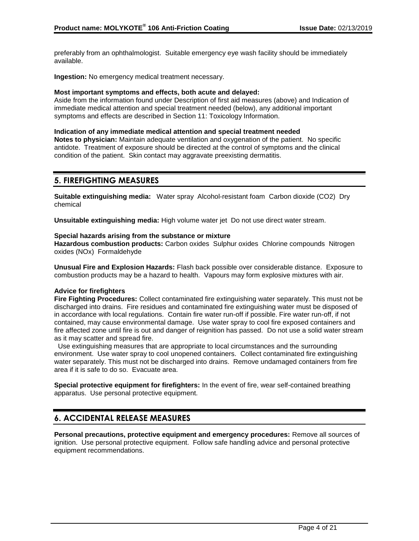preferably from an ophthalmologist. Suitable emergency eye wash facility should be immediately available.

**Ingestion:** No emergency medical treatment necessary.

#### **Most important symptoms and effects, both acute and delayed:**

Aside from the information found under Description of first aid measures (above) and Indication of immediate medical attention and special treatment needed (below), any additional important symptoms and effects are described in Section 11: Toxicology Information.

#### **Indication of any immediate medical attention and special treatment needed**

**Notes to physician:** Maintain adequate ventilation and oxygenation of the patient. No specific antidote. Treatment of exposure should be directed at the control of symptoms and the clinical condition of the patient. Skin contact may aggravate preexisting dermatitis.

# **5. FIREFIGHTING MEASURES**

**Suitable extinguishing media:** Water spray Alcohol-resistant foam Carbon dioxide (CO2) Dry chemical

**Unsuitable extinguishing media:** High volume water jet Do not use direct water stream.

#### **Special hazards arising from the substance or mixture**

**Hazardous combustion products:** Carbon oxides Sulphur oxides Chlorine compounds Nitrogen oxides (NOx) Formaldehyde

**Unusual Fire and Explosion Hazards:** Flash back possible over considerable distance. Exposure to combustion products may be a hazard to health. Vapours may form explosive mixtures with air.

#### **Advice for firefighters**

**Fire Fighting Procedures:** Collect contaminated fire extinguishing water separately. This must not be discharged into drains. Fire residues and contaminated fire extinguishing water must be disposed of in accordance with local regulations. Contain fire water run-off if possible. Fire water run-off, if not contained, may cause environmental damage. Use water spray to cool fire exposed containers and fire affected zone until fire is out and danger of reignition has passed. Do not use a solid water stream as it may scatter and spread fire.

 Use extinguishing measures that are appropriate to local circumstances and the surrounding environment. Use water spray to cool unopened containers. Collect contaminated fire extinguishing water separately. This must not be discharged into drains. Remove undamaged containers from fire area if it is safe to do so. Evacuate area.

**Special protective equipment for firefighters:** In the event of fire, wear self-contained breathing apparatus. Use personal protective equipment.

# **6. ACCIDENTAL RELEASE MEASURES**

**Personal precautions, protective equipment and emergency procedures:** Remove all sources of ignition. Use personal protective equipment. Follow safe handling advice and personal protective equipment recommendations.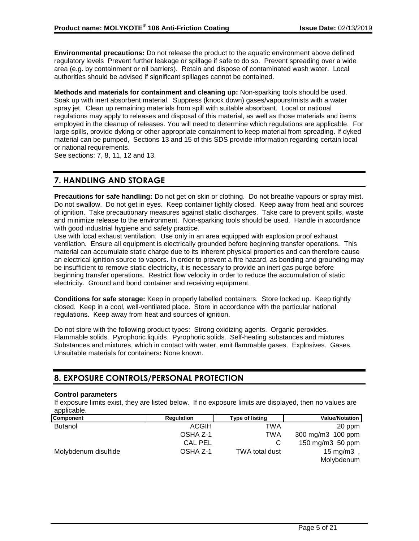**Environmental precautions:** Do not release the product to the aquatic environment above defined regulatory levels Prevent further leakage or spillage if safe to do so. Prevent spreading over a wide area (e.g. by containment or oil barriers). Retain and dispose of contaminated wash water. Local authorities should be advised if significant spillages cannot be contained.

**Methods and materials for containment and cleaning up:** Non-sparking tools should be used. Soak up with inert absorbent material. Suppress (knock down) gases/vapours/mists with a water spray jet. Clean up remaining materials from spill with suitable absorbant. Local or national regulations may apply to releases and disposal of this material, as well as those materials and items employed in the cleanup of releases. You will need to determine which regulations are applicable. For large spills, provide dyking or other appropriate containment to keep material from spreading. If dyked material can be pumped, Sections 13 and 15 of this SDS provide information regarding certain local or national requirements.

See sections: 7, 8, 11, 12 and 13.

# **7. HANDLING AND STORAGE**

**Precautions for safe handling:** Do not get on skin or clothing. Do not breathe vapours or spray mist. Do not swallow. Do not get in eyes. Keep container tightly closed. Keep away from heat and sources of ignition. Take precautionary measures against static discharges. Take care to prevent spills, waste and minimize release to the environment. Non-sparking tools should be used. Handle in accordance with good industrial hygiene and safety practice.

Use with local exhaust ventilation. Use only in an area equipped with explosion proof exhaust ventilation. Ensure all equipment is electrically grounded before beginning transfer operations. This material can accumulate static charge due to its inherent physical properties and can therefore cause an electrical ignition source to vapors. In order to prevent a fire hazard, as bonding and grounding may be insufficient to remove static electricity, it is necessary to provide an inert gas purge before beginning transfer operations. Restrict flow velocity in order to reduce the accumulation of static electricity. Ground and bond container and receiving equipment.

**Conditions for safe storage:** Keep in properly labelled containers. Store locked up. Keep tightly closed. Keep in a cool, well-ventilated place. Store in accordance with the particular national regulations. Keep away from heat and sources of ignition.

Do not store with the following product types: Strong oxidizing agents. Organic peroxides. Flammable solids. Pyrophoric liquids. Pyrophoric solids. Self-heating substances and mixtures. Substances and mixtures, which in contact with water, emit flammable gases. Explosives. Gases. Unsuitable materials for containers**:** None known.

# **8. EXPOSURE CONTROLS/PERSONAL PROTECTION**

#### **Control parameters**

If exposure limits exist, they are listed below. If no exposure limits are displayed, then no values are applicable.

| Component            | <b>Regulation</b> | Type of listing | <b>Value/Notation</b> |
|----------------------|-------------------|-----------------|-----------------------|
| <b>Butanol</b>       | <b>ACGIH</b>      | TWA             | 20 ppm                |
|                      | OSHA Z-1          | TWA             | 300 mg/m3 100 ppm     |
|                      | <b>CAL PEL</b>    |                 | 150 mg/m3 50 ppm      |
| Molybdenum disulfide | OSHA Z-1          | TWA total dust  | 15 mg/m $3$           |
|                      |                   |                 | Molybdenum            |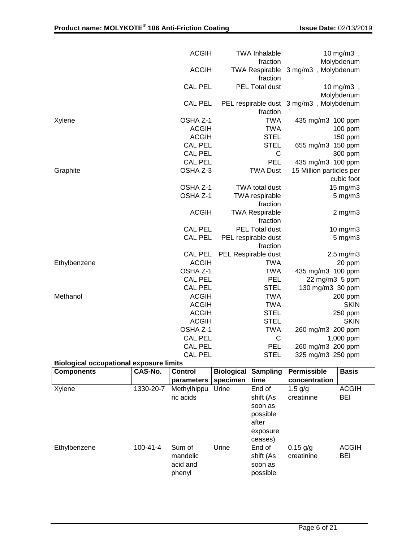|                                                | <b>ACGIH</b>   | <b>TWA Inhalable</b>              | 10 mg/m3,                               |
|------------------------------------------------|----------------|-----------------------------------|-----------------------------------------|
|                                                |                | fraction                          | Molybdenum                              |
|                                                | <b>ACGIH</b>   | fraction                          | TWA Respirable 3 mg/m3, Molybdenum      |
|                                                | <b>CAL PEL</b> | PEL Total dust                    | 10 mg/m $3$ ,                           |
|                                                |                |                                   | Molybdenum                              |
|                                                | <b>CAL PEL</b> |                                   | PEL respirable dust 3 mg/m3, Molybdenum |
|                                                |                | fraction                          |                                         |
| Xylene                                         | OSHA Z-1       | <b>TWA</b>                        | 435 mg/m3 100 ppm                       |
|                                                | <b>ACGIH</b>   | <b>TWA</b>                        | 100 ppm                                 |
|                                                | <b>ACGIH</b>   | <b>STEL</b>                       | 150 ppm                                 |
|                                                | <b>CAL PEL</b> | <b>STEL</b>                       | 150 ppm<br>655 mg/m3                    |
|                                                | <b>CAL PEL</b> | $\mathsf{C}$                      | 300 ppm                                 |
|                                                | <b>CAL PEL</b> | PEL                               | 435 mg/m3 100 ppm                       |
| Graphite                                       | OSHA Z-3       | <b>TWA Dust</b>                   | 15 Million particles per                |
|                                                |                |                                   | cubic foot                              |
|                                                | OSHA Z-1       | TWA total dust                    | 15 mg/m3                                |
|                                                | OSHA Z-1       | <b>TWA</b> respirable             | $5 \text{ mg/m}$ 3                      |
|                                                |                | fraction                          |                                         |
|                                                | <b>ACGIH</b>   | <b>TWA Respirable</b><br>fraction | $2$ mg/m $3$                            |
|                                                | <b>CAL PEL</b> | PEL Total dust                    | 10 mg/m3                                |
|                                                | <b>CAL PEL</b> | PEL respirable dust<br>fraction   | $5 \text{ mg/m}$ 3                      |
|                                                | <b>CAL PEL</b> | PEL Respirable dust               | $2.5$ mg/m $3$                          |
| Ethylbenzene                                   | <b>ACGIH</b>   | <b>TWA</b>                        | 20 ppm                                  |
|                                                | OSHA Z-1       | <b>TWA</b>                        | 435 mg/m3 100 ppm                       |
|                                                | <b>CAL PEL</b> | <b>PEL</b>                        | 22 mg/m3 5 ppm                          |
|                                                | <b>CAL PEL</b> | <b>STEL</b>                       | 130 mg/m3 30 ppm                        |
| Methanol                                       | <b>ACGIH</b>   | <b>TWA</b>                        | 200 ppm                                 |
|                                                | <b>ACGIH</b>   | <b>TWA</b>                        | <b>SKIN</b>                             |
|                                                | <b>ACGIH</b>   | <b>STEL</b>                       | 250 ppm                                 |
|                                                | <b>ACGIH</b>   | <b>STEL</b>                       | <b>SKIN</b>                             |
|                                                | OSHA Z-1       | <b>TWA</b>                        | 260 mg/m3 200 ppm                       |
|                                                | <b>CAL PEL</b> | $\mathsf{C}$                      | 1,000 ppm                               |
|                                                | <b>CAL PEL</b> | <b>PEL</b>                        | 260 mg/m3 200 ppm                       |
|                                                | <b>CAL PEL</b> | <b>STEL</b>                       | 325 mg/m3 250 ppm                       |
| <b>Biological occupational exposure limits</b> |                |                                   |                                         |

| <b>Components</b> | CAS-No.        | <b>Control</b><br>parameters             | <b>Biological</b><br>specimen | <b>Sampling</b><br>time                                                    | Permissible<br>concentration | <b>Basis</b>               |
|-------------------|----------------|------------------------------------------|-------------------------------|----------------------------------------------------------------------------|------------------------------|----------------------------|
| Xylene            | 1330-20-7      | Methylhippu<br>ric acids                 | Urine                         | End of<br>shift (As<br>soon as<br>possible<br>after<br>exposure<br>ceases) | 1.5 $g/g$<br>creatinine      | <b>ACGIH</b><br><b>BEI</b> |
| Ethylbenzene      | $100 - 41 - 4$ | Sum of<br>mandelic<br>acid and<br>phenyl | Urine                         | End of<br>shift (As<br>soon as<br>possible                                 | $0.15$ g/g<br>creatinine     | <b>ACGIH</b><br><b>BEI</b> |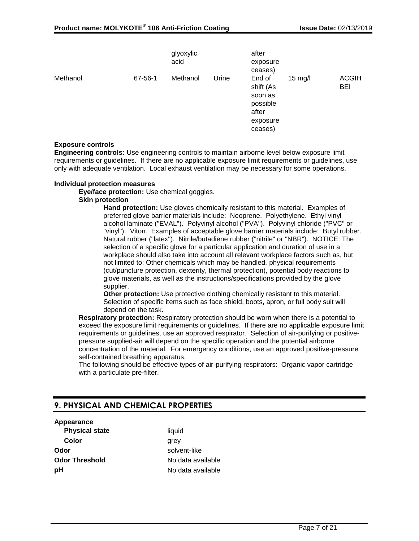|          |         | glyoxylic<br>acid |       | after<br>exposure<br>ceases)                                               |           |                     |
|----------|---------|-------------------|-------|----------------------------------------------------------------------------|-----------|---------------------|
| Methanol | 67-56-1 | Methanol          | Urine | End of<br>shift (As<br>soon as<br>possible<br>after<br>exposure<br>ceases) | $15$ mg/l | <b>ACGIH</b><br>BEI |

#### **Exposure controls**

**Engineering controls:** Use engineering controls to maintain airborne level below exposure limit requirements or guidelines. If there are no applicable exposure limit requirements or guidelines, use only with adequate ventilation. Local exhaust ventilation may be necessary for some operations.

#### **Individual protection measures**

**Eye/face protection:** Use chemical goggles.

#### **Skin protection**

**Hand protection:** Use gloves chemically resistant to this material. Examples of preferred glove barrier materials include: Neoprene. Polyethylene. Ethyl vinyl alcohol laminate ("EVAL"). Polyvinyl alcohol ("PVA"). Polyvinyl chloride ("PVC" or "vinyl"). Viton. Examples of acceptable glove barrier materials include: Butyl rubber. Natural rubber ("latex"). Nitrile/butadiene rubber ("nitrile" or "NBR"). NOTICE: The selection of a specific glove for a particular application and duration of use in a workplace should also take into account all relevant workplace factors such as, but not limited to: Other chemicals which may be handled, physical requirements (cut/puncture protection, dexterity, thermal protection), potential body reactions to glove materials, as well as the instructions/specifications provided by the glove supplier.

**Other protection:** Use protective clothing chemically resistant to this material. Selection of specific items such as face shield, boots, apron, or full body suit will depend on the task.

**Respiratory protection:** Respiratory protection should be worn when there is a potential to exceed the exposure limit requirements or guidelines. If there are no applicable exposure limit requirements or guidelines, use an approved respirator. Selection of air-purifying or positivepressure supplied-air will depend on the specific operation and the potential airborne concentration of the material. For emergency conditions, use an approved positive-pressure self-contained breathing apparatus.

The following should be effective types of air-purifying respirators: Organic vapor cartridge with a particulate pre-filter.

# **9. PHYSICAL AND CHEMICAL PROPERTIES**

#### **Appearance**

**Physical state** liquid **Color** grey **Odor** solvent-like **Odor Threshold** No data available **pH** No data available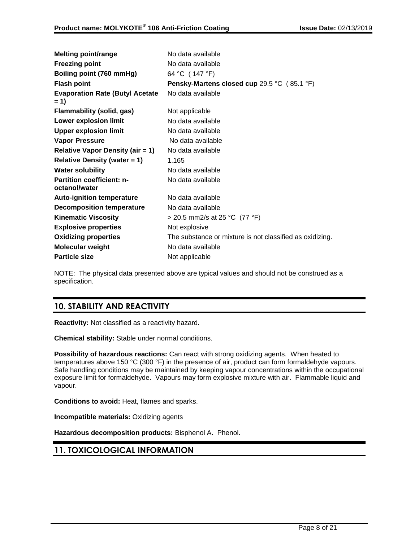| <b>Melting point/range</b>                        | No data available                                        |
|---------------------------------------------------|----------------------------------------------------------|
| <b>Freezing point</b>                             | No data available                                        |
| Boiling point (760 mmHg)                          | 64 °C (147 °F)                                           |
| <b>Flash point</b>                                | Pensky-Martens closed cup 29.5 °C (85.1 °F)              |
| <b>Evaporation Rate (Butyl Acetate</b><br>$= 1$   | No data available                                        |
| Flammability (solid, gas)                         | Not applicable                                           |
| <b>Lower explosion limit</b>                      | No data available                                        |
| <b>Upper explosion limit</b>                      | No data available                                        |
| <b>Vapor Pressure</b>                             | No data available                                        |
| <b>Relative Vapor Density (air = 1)</b>           | No data available                                        |
| Relative Density (water $= 1$ )                   | 1.165                                                    |
| <b>Water solubility</b>                           | No data available                                        |
| <b>Partition coefficient: n-</b><br>octanol/water | No data available                                        |
| <b>Auto-ignition temperature</b>                  | No data available                                        |
| <b>Decomposition temperature</b>                  | No data available                                        |
| <b>Kinematic Viscosity</b>                        | > 20.5 mm2/s at 25 °C $(77 °F)$                          |
| <b>Explosive properties</b>                       | Not explosive                                            |
| <b>Oxidizing properties</b>                       | The substance or mixture is not classified as oxidizing. |
| Molecular weight                                  | No data available                                        |
| <b>Particle size</b>                              | Not applicable                                           |

NOTE: The physical data presented above are typical values and should not be construed as a specification.

# **10. STABILITY AND REACTIVITY**

**Reactivity:** Not classified as a reactivity hazard.

**Chemical stability:** Stable under normal conditions.

**Possibility of hazardous reactions:** Can react with strong oxidizing agents. When heated to temperatures above 150 °C (300 °F) in the presence of air, product can form formaldehyde vapours. Safe handling conditions may be maintained by keeping vapour concentrations within the occupational exposure limit for formaldehyde. Vapours may form explosive mixture with air. Flammable liquid and vapour.

**Conditions to avoid:** Heat, flames and sparks.

**Incompatible materials:** Oxidizing agents

**Hazardous decomposition products:** Bisphenol A. Phenol.

# **11. TOXICOLOGICAL INFORMATION**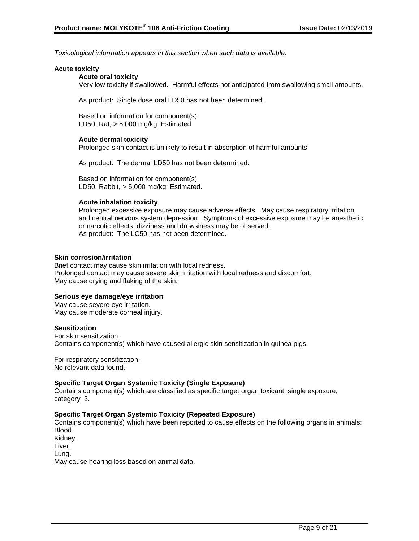*Toxicological information appears in this section when such data is available.*

#### **Acute toxicity**

#### **Acute oral toxicity**

Very low toxicity if swallowed. Harmful effects not anticipated from swallowing small amounts.

As product: Single dose oral LD50 has not been determined.

Based on information for component(s): LD50, Rat, > 5,000 mg/kg Estimated.

#### **Acute dermal toxicity**

Prolonged skin contact is unlikely to result in absorption of harmful amounts.

As product: The dermal LD50 has not been determined.

Based on information for component(s): LD50, Rabbit, > 5,000 mg/kg Estimated.

#### **Acute inhalation toxicity**

Prolonged excessive exposure may cause adverse effects. May cause respiratory irritation and central nervous system depression. Symptoms of excessive exposure may be anesthetic or narcotic effects; dizziness and drowsiness may be observed. As product: The LC50 has not been determined.

#### **Skin corrosion/irritation**

Brief contact may cause skin irritation with local redness. Prolonged contact may cause severe skin irritation with local redness and discomfort. May cause drying and flaking of the skin.

### **Serious eye damage/eye irritation**

May cause severe eye irritation. May cause moderate corneal injury.

#### **Sensitization**

For skin sensitization: Contains component(s) which have caused allergic skin sensitization in guinea pigs.

For respiratory sensitization: No relevant data found.

#### **Specific Target Organ Systemic Toxicity (Single Exposure)**

Contains component(s) which are classified as specific target organ toxicant, single exposure, category 3.

#### **Specific Target Organ Systemic Toxicity (Repeated Exposure)**

Contains component(s) which have been reported to cause effects on the following organs in animals: Blood. Kidney. Liver.

Lung.

May cause hearing loss based on animal data.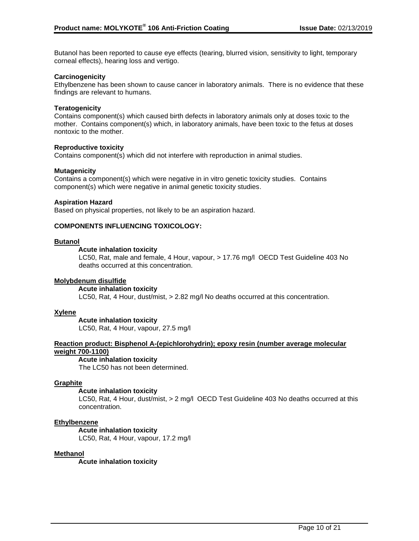Butanol has been reported to cause eye effects (tearing, blurred vision, sensitivity to light, temporary corneal effects), hearing loss and vertigo.

#### **Carcinogenicity**

Ethylbenzene has been shown to cause cancer in laboratory animals. There is no evidence that these findings are relevant to humans.

#### **Teratogenicity**

Contains component(s) which caused birth defects in laboratory animals only at doses toxic to the mother. Contains component(s) which, in laboratory animals, have been toxic to the fetus at doses nontoxic to the mother.

#### **Reproductive toxicity**

Contains component(s) which did not interfere with reproduction in animal studies.

#### **Mutagenicity**

Contains a component(s) which were negative in in vitro genetic toxicity studies. Contains component(s) which were negative in animal genetic toxicity studies.

#### **Aspiration Hazard**

Based on physical properties, not likely to be an aspiration hazard.

### **COMPONENTS INFLUENCING TOXICOLOGY:**

#### **Butanol**

### **Acute inhalation toxicity**

LC50, Rat, male and female, 4 Hour, vapour, > 17.76 mg/l OECD Test Guideline 403 No deaths occurred at this concentration.

#### **Molybdenum disulfide**

#### **Acute inhalation toxicity**

LC50, Rat, 4 Hour, dust/mist, > 2.82 mg/l No deaths occurred at this concentration.

#### **Xylene**

**Acute inhalation toxicity** LC50, Rat, 4 Hour, vapour, 27.5 mg/l

## **Reaction product: Bisphenol A-(epichlorohydrin); epoxy resin (number average molecular weight 700-1100)**

**Acute inhalation toxicity**

The LC50 has not been determined.

#### **Graphite**

#### **Acute inhalation toxicity**

LC50, Rat, 4 Hour, dust/mist, > 2 mg/l OECD Test Guideline 403 No deaths occurred at this concentration.

#### **Ethylbenzene**

#### **Acute inhalation toxicity**

LC50, Rat, 4 Hour, vapour, 17.2 mg/l

#### **Methanol**

**Acute inhalation toxicity**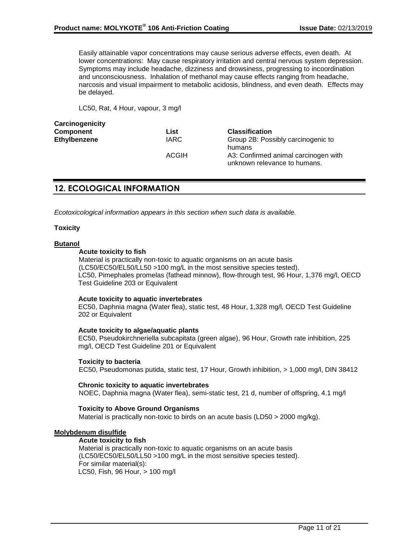Easily attainable vapor concentrations may cause serious adverse effects, even death. At lower concentrations: May cause respiratory irritation and central nervous system depression. Symptoms may include headache, dizziness and drowsiness, progressing to incoordination and unconsciousness. Inhalation of methanol may cause effects ranging from headache, narcosis and visual impairment to metabolic acidosis, blindness, and even death. Effects may be delayed.

LC50, Rat, 4 Hour, vapour, 3 mg/l

| Carcinogenicity |              |                                                |
|-----------------|--------------|------------------------------------------------|
| Component       | List         | <b>Classification</b>                          |
| Ethylbenzene    | <b>IARC</b>  | Group 2B: Possibly carcinogenic to             |
|                 | <b>ACGIH</b> | humans<br>A3: Confirmed animal carcinogen with |
|                 |              | unknown relevance to humans.                   |

# **12. ECOLOGICAL INFORMATION**

*Ecotoxicological information appears in this section when such data is available.*

#### **Toxicity**

## **Butanol**

### **Acute toxicity to fish**

Material is practically non-toxic to aquatic organisms on an acute basis (LC50/EC50/EL50/LL50 >100 mg/L in the most sensitive species tested). LC50, Pimephales promelas (fathead minnow), flow-through test, 96 Hour, 1,376 mg/l, OECD Test Guideline 203 or Equivalent

#### **Acute toxicity to aquatic invertebrates**

EC50, Daphnia magna (Water flea), static test, 48 Hour, 1,328 mg/l, OECD Test Guideline 202 or Equivalent

#### **Acute toxicity to algae/aquatic plants**

EC50, Pseudokirchneriella subcapitata (green algae), 96 Hour, Growth rate inhibition, 225 mg/l, OECD Test Guideline 201 or Equivalent

#### **Toxicity to bacteria**

EC50, Pseudomonas putida, static test, 17 Hour, Growth inhibition, > 1,000 mg/l, DIN 38412

#### **Chronic toxicity to aquatic invertebrates** NOEC, Daphnia magna (Water flea), semi-static test, 21 d, number of offspring, 4.1 mg/l

### **Toxicity to Above Ground Organisms**

Material is practically non-toxic to birds on an acute basis (LD50 > 2000 mg/kg).

#### **Molybdenum disulfide**

#### **Acute toxicity to fish**

Material is practically non-toxic to aquatic organisms on an acute basis (LC50/EC50/EL50/LL50 >100 mg/L in the most sensitive species tested). For similar material(s): LC50, Fish, 96 Hour, > 100 mg/l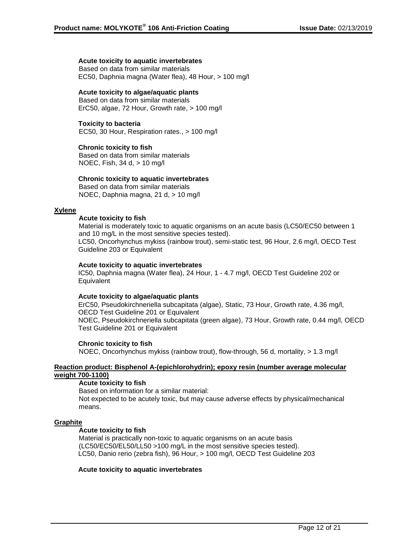#### **Acute toxicity to aquatic invertebrates**

Based on data from similar materials EC50, Daphnia magna (Water flea), 48 Hour, > 100 mg/l

### **Acute toxicity to algae/aquatic plants**

Based on data from similar materials ErC50, algae, 72 Hour, Growth rate, > 100 mg/l

#### **Toxicity to bacteria**

EC50, 30 Hour, Respiration rates., > 100 mg/l

### **Chronic toxicity to fish**

Based on data from similar materials NOEC, Fish, 34 d, > 10 mg/l

#### **Chronic toxicity to aquatic invertebrates**

Based on data from similar materials NOEC, Daphnia magna, 21 d, > 10 mg/l

#### **Xylene**

#### **Acute toxicity to fish**

Material is moderately toxic to aquatic organisms on an acute basis (LC50/EC50 between 1 and 10 mg/L in the most sensitive species tested). LC50, Oncorhynchus mykiss (rainbow trout), semi-static test, 96 Hour, 2.6 mg/l, OECD Test Guideline 203 or Equivalent

#### **Acute toxicity to aquatic invertebrates**

IC50, Daphnia magna (Water flea), 24 Hour, 1 - 4.7 mg/l, OECD Test Guideline 202 or **Equivalent** 

#### **Acute toxicity to algae/aquatic plants**

ErC50, Pseudokirchneriella subcapitata (algae), Static, 73 Hour, Growth rate, 4.36 mg/l, OECD Test Guideline 201 or Equivalent NOEC, Pseudokirchneriella subcapitata (green algae), 73 Hour, Growth rate, 0.44 mg/l, OECD Test Guideline 201 or Equivalent

#### **Chronic toxicity to fish**

NOEC, Oncorhynchus mykiss (rainbow trout), flow-through, 56 d, mortality, > 1.3 mg/l

#### **Reaction product: Bisphenol A-(epichlorohydrin); epoxy resin (number average molecular weight 700-1100)**

#### **Acute toxicity to fish**

Based on information for a similar material: Not expected to be acutely toxic, but may cause adverse effects by physical/mechanical means.

#### **Graphite**

#### **Acute toxicity to fish**

Material is practically non-toxic to aquatic organisms on an acute basis (LC50/EC50/EL50/LL50 >100 mg/L in the most sensitive species tested). LC50, Danio rerio (zebra fish), 96 Hour, > 100 mg/l, OECD Test Guideline 203

#### **Acute toxicity to aquatic invertebrates**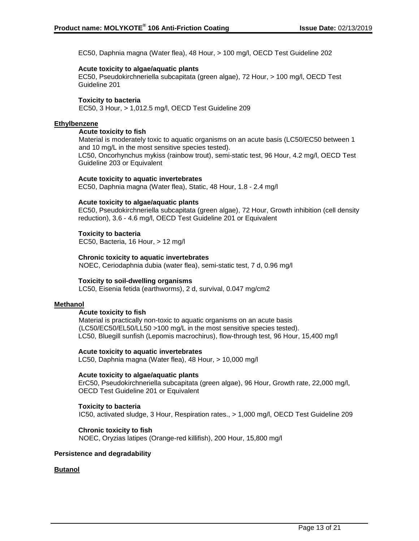EC50, Daphnia magna (Water flea), 48 Hour, > 100 mg/l, OECD Test Guideline 202

#### **Acute toxicity to algae/aquatic plants**

EC50, Pseudokirchneriella subcapitata (green algae), 72 Hour, > 100 mg/l, OECD Test Guideline 201

### **Toxicity to bacteria**

EC50, 3 Hour, > 1,012.5 mg/l, OECD Test Guideline 209

### **Ethylbenzene**

#### **Acute toxicity to fish**

Material is moderately toxic to aquatic organisms on an acute basis (LC50/EC50 between 1 and 10 mg/L in the most sensitive species tested).

LC50, Oncorhynchus mykiss (rainbow trout), semi-static test, 96 Hour, 4.2 mg/l, OECD Test Guideline 203 or Equivalent

### **Acute toxicity to aquatic invertebrates**

EC50, Daphnia magna (Water flea), Static, 48 Hour, 1.8 - 2.4 mg/l

### **Acute toxicity to algae/aquatic plants**

EC50, Pseudokirchneriella subcapitata (green algae), 72 Hour, Growth inhibition (cell density reduction), 3.6 - 4.6 mg/l, OECD Test Guideline 201 or Equivalent

### **Toxicity to bacteria**

EC50, Bacteria, 16 Hour, > 12 mg/l

### **Chronic toxicity to aquatic invertebrates**

NOEC, Ceriodaphnia dubia (water flea), semi-static test, 7 d, 0.96 mg/l

#### **Toxicity to soil-dwelling organisms**

LC50, Eisenia fetida (earthworms), 2 d, survival, 0.047 mg/cm2

#### **Methanol**

#### **Acute toxicity to fish**

Material is practically non-toxic to aquatic organisms on an acute basis (LC50/EC50/EL50/LL50 >100 mg/L in the most sensitive species tested). LC50, Bluegill sunfish (Lepomis macrochirus), flow-through test, 96 Hour, 15,400 mg/l

#### **Acute toxicity to aquatic invertebrates**

LC50, Daphnia magna (Water flea), 48 Hour, > 10,000 mg/l

#### **Acute toxicity to algae/aquatic plants**

ErC50, Pseudokirchneriella subcapitata (green algae), 96 Hour, Growth rate, 22,000 mg/l, OECD Test Guideline 201 or Equivalent

#### **Toxicity to bacteria**

IC50, activated sludge, 3 Hour, Respiration rates., > 1,000 mg/l, OECD Test Guideline 209

#### **Chronic toxicity to fish**

NOEC, Oryzias latipes (Orange-red killifish), 200 Hour, 15,800 mg/l

#### **Persistence and degradability**

#### **Butanol**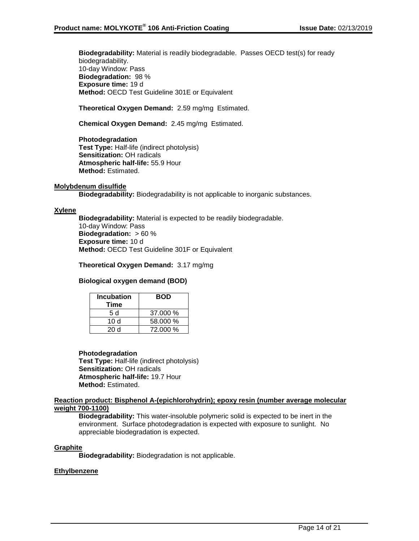**Biodegradability:** Material is readily biodegradable. Passes OECD test(s) for ready biodegradability. 10-day Window: Pass **Biodegradation:** 98 % **Exposure time:** 19 d **Method:** OECD Test Guideline 301E or Equivalent

### **Theoretical Oxygen Demand:** 2.59 mg/mg Estimated.

**Chemical Oxygen Demand:** 2.45 mg/mg Estimated.

**Photodegradation Test Type:** Half-life (indirect photolysis) **Sensitization:** OH radicals **Atmospheric half-life:** 55.9 Hour **Method:** Estimated.

#### **Molybdenum disulfide**

**Biodegradability:** Biodegradability is not applicable to inorganic substances.

#### **Xylene**

**Biodegradability:** Material is expected to be readily biodegradable. 10-day Window: Pass **Biodegradation:** > 60 % **Exposure time:** 10 d **Method:** OECD Test Guideline 301F or Equivalent

**Theoretical Oxygen Demand:** 3.17 mg/mg

#### **Biological oxygen demand (BOD)**

| <b>Incubation</b><br>Time | <b>BOD</b> |
|---------------------------|------------|
| 5 d                       | 37.000 %   |
| 10 d                      | 58.000 %   |
| 20d                       | 72.000 %   |

#### **Photodegradation**

**Test Type:** Half-life (indirect photolysis) **Sensitization:** OH radicals **Atmospheric half-life:** 19.7 Hour **Method:** Estimated.

#### **Reaction product: Bisphenol A-(epichlorohydrin); epoxy resin (number average molecular weight 700-1100)**

**Biodegradability:** This water-insoluble polymeric solid is expected to be inert in the environment. Surface photodegradation is expected with exposure to sunlight. No appreciable biodegradation is expected.

#### **Graphite**

**Biodegradability:** Biodegradation is not applicable.

#### **Ethylbenzene**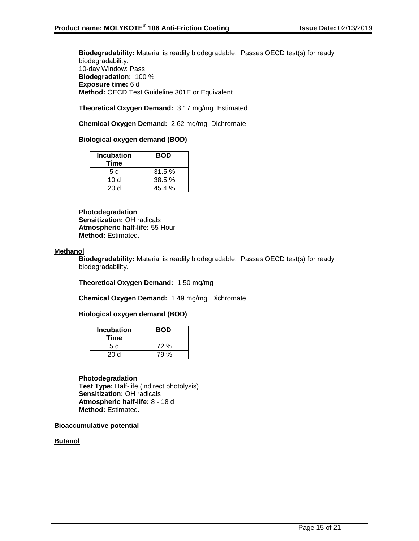**Biodegradability:** Material is readily biodegradable. Passes OECD test(s) for ready biodegradability. 10-day Window: Pass **Biodegradation:** 100 % **Exposure time:** 6 d **Method:** OECD Test Guideline 301E or Equivalent

### **Theoretical Oxygen Demand:** 3.17 mg/mg Estimated.

### **Chemical Oxygen Demand:** 2.62 mg/mg Dichromate

# **Biological oxygen demand (BOD)**

| <b>Incubation</b><br>Time | <b>BOD</b> |
|---------------------------|------------|
| .5 d                      | 31.5%      |
| 10 d                      | 38.5%      |
| 20 d                      | 45.4%      |

**Photodegradation Sensitization:** OH radicals **Atmospheric half-life:** 55 Hour **Method:** Estimated.

#### **Methanol**

**Biodegradability:** Material is readily biodegradable. Passes OECD test(s) for ready biodegradability.

**Theoretical Oxygen Demand:** 1.50 mg/mg

**Chemical Oxygen Demand:** 1.49 mg/mg Dichromate

#### **Biological oxygen demand (BOD)**

| <b>Incubation</b><br>Time | <b>BOD</b> |
|---------------------------|------------|
| 5 d                       | 72 %       |
| 20d                       | 79 %       |

**Photodegradation Test Type:** Half-life (indirect photolysis) **Sensitization:** OH radicals **Atmospheric half-life:** 8 - 18 d **Method:** Estimated.

**Bioaccumulative potential**

**Butanol**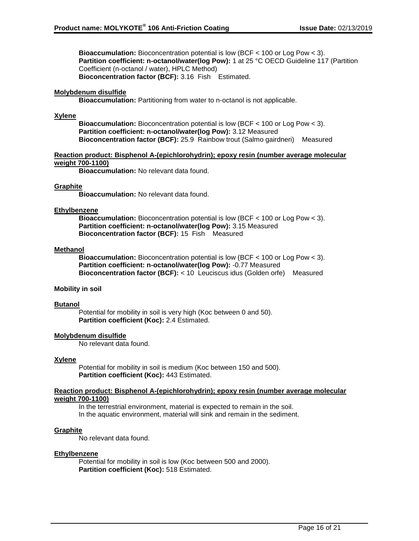**Bioaccumulation:** Bioconcentration potential is low (BCF < 100 or Log Pow < 3). **Partition coefficient: n-octanol/water(log Pow):** 1 at 25 °C OECD Guideline 117 (Partition Coefficient (n-octanol / water), HPLC Method) **Bioconcentration factor (BCF):** 3.16 Fish Estimated.

### **Molybdenum disulfide**

**Bioaccumulation:** Partitioning from water to n-octanol is not applicable.

#### **Xylene**

**Bioaccumulation:** Bioconcentration potential is low (BCF < 100 or Log Pow < 3). **Partition coefficient: n-octanol/water(log Pow):** 3.12 Measured **Bioconcentration factor (BCF):** 25.9 Rainbow trout (Salmo gairdneri) Measured

#### **Reaction product: Bisphenol A-(epichlorohydrin); epoxy resin (number average molecular weight 700-1100)**

**Bioaccumulation:** No relevant data found.

#### **Graphite**

**Bioaccumulation:** No relevant data found.

#### **Ethylbenzene**

**Bioaccumulation:** Bioconcentration potential is low (BCF < 100 or Log Pow < 3). **Partition coefficient: n-octanol/water(log Pow):** 3.15 Measured **Bioconcentration factor (BCF):** 15 Fish Measured

#### **Methanol**

**Bioaccumulation:** Bioconcentration potential is low (BCF < 100 or Log Pow < 3). **Partition coefficient: n-octanol/water(log Pow):** -0.77 Measured **Bioconcentration factor (BCF):** < 10 Leuciscus idus (Golden orfe) Measured

#### **Mobility in soil**

#### **Butanol**

Potential for mobility in soil is very high (Koc between 0 and 50). **Partition coefficient (Koc):** 2.4 Estimated.

### **Molybdenum disulfide**

No relevant data found.

#### **Xylene**

Potential for mobility in soil is medium (Koc between 150 and 500). **Partition coefficient (Koc):** 443 Estimated.

#### **Reaction product: Bisphenol A-(epichlorohydrin); epoxy resin (number average molecular weight 700-1100)**

In the terrestrial environment, material is expected to remain in the soil. In the aquatic environment, material will sink and remain in the sediment.

#### **Graphite**

No relevant data found.

#### **Ethylbenzene**

Potential for mobility in soil is low (Koc between 500 and 2000). **Partition coefficient (Koc):** 518 Estimated.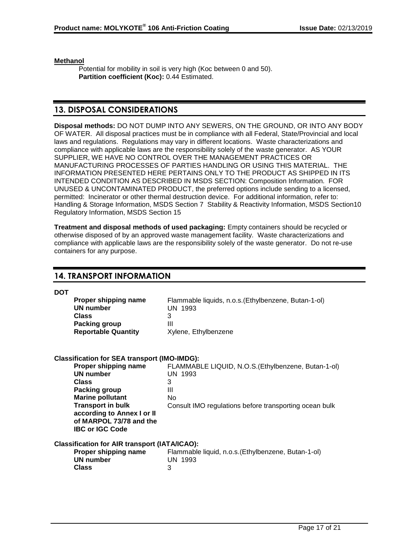**Methanol**

Potential for mobility in soil is very high (Koc between 0 and 50). **Partition coefficient (Koc):** 0.44 Estimated.

# **13. DISPOSAL CONSIDERATIONS**

**Disposal methods:** DO NOT DUMP INTO ANY SEWERS, ON THE GROUND, OR INTO ANY BODY OF WATER. All disposal practices must be in compliance with all Federal, State/Provincial and local laws and regulations. Regulations may vary in different locations. Waste characterizations and compliance with applicable laws are the responsibility solely of the waste generator. AS YOUR SUPPLIER, WE HAVE NO CONTROL OVER THE MANAGEMENT PRACTICES OR MANUFACTURING PROCESSES OF PARTIES HANDLING OR USING THIS MATERIAL. THE INFORMATION PRESENTED HERE PERTAINS ONLY TO THE PRODUCT AS SHIPPED IN ITS INTENDED CONDITION AS DESCRIBED IN MSDS SECTION: Composition Information. FOR UNUSED & UNCONTAMINATED PRODUCT, the preferred options include sending to a licensed, permitted: Incinerator or other thermal destruction device. For additional information, refer to: Handling & Storage Information, MSDS Section 7 Stability & Reactivity Information, MSDS Section10 Regulatory Information, MSDS Section 15

**Treatment and disposal methods of used packaging:** Empty containers should be recycled or otherwise disposed of by an approved waste management facility. Waste characterizations and compliance with applicable laws are the responsibility solely of the waste generator. Do not re-use containers for any purpose.

# **14. TRANSPORT INFORMATION**

**DOT**

| Proper shipping name       | Flammable liquids, n.o.s. (Ethylbenzene, Butan-1-ol) |
|----------------------------|------------------------------------------------------|
| UN number                  | UN 1993                                              |
| Class                      |                                                      |
| Packing group              | Ш                                                    |
| <b>Reportable Quantity</b> | Xylene, Ethylbenzene                                 |

| <b>Classification for SEA transport (IMO-IMDG):</b>  |                                                        |
|------------------------------------------------------|--------------------------------------------------------|
| Proper shipping name                                 | FLAMMABLE LIQUID, N.O.S. (Ethylbenzene, Butan-1-ol)    |
| UN number                                            | UN 1993                                                |
| <b>Class</b>                                         | 3                                                      |
| <b>Packing group</b>                                 | Ш                                                      |
| <b>Marine pollutant</b>                              | No                                                     |
| <b>Transport in bulk</b>                             | Consult IMO regulations before transporting ocean bulk |
| according to Annex I or II                           |                                                        |
| of MARPOL 73/78 and the                              |                                                        |
| <b>IBC or IGC Code</b>                               |                                                        |
| <b>Classification for AIR transport (IATA/ICAO):</b> |                                                        |
| Proper shipping name                                 | Flammable liquid, n.o.s. (Ethylbenzene, Butan-1-ol)    |
| <b>UN number</b>                                     | UN 1993                                                |
| <b>Class</b>                                         | 3                                                      |
|                                                      |                                                        |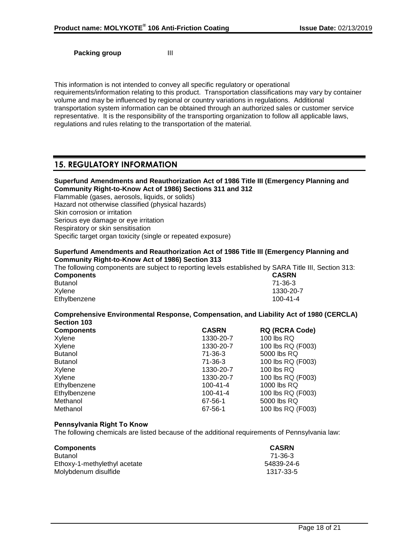**Packing group III** 

This information is not intended to convey all specific regulatory or operational requirements/information relating to this product. Transportation classifications may vary by container volume and may be influenced by regional or country variations in regulations. Additional transportation system information can be obtained through an authorized sales or customer service representative. It is the responsibility of the transporting organization to follow all applicable laws, regulations and rules relating to the transportation of the material.

# **15. REGULATORY INFORMATION**

| Superfund Amendments and Reauthorization Act of 1986 Title III (Emergency Planning and<br>Community Right-to-Know Act of 1986) Sections 311 and 312 |
|-----------------------------------------------------------------------------------------------------------------------------------------------------|
| Flammable (gases, aerosols, liquids, or solids)                                                                                                     |
| Hazard not otherwise classified (physical hazards)                                                                                                  |
| Skin corrosion or irritation                                                                                                                        |
| Serious eye damage or eye irritation                                                                                                                |
| Respiratory or skin sensitisation                                                                                                                   |
| Specific target organ toxicity (single or repeated exposure)                                                                                        |
| Superfund Amendments and Peauthorization Act of 1986 Title III (Emergency Planning and                                                              |

#### **Superfund Amendments and Reauthorization Act of 1986 Title III (Emergency Planning and Community Right-to-Know Act of 1986) Section 313**

The following components are subject to reporting levels established by SARA Title III, Section 313: **Components CASRN**

| Butanol      | 71-36-3   |
|--------------|-----------|
| Xylene       | 1330-20-7 |
| Ethylbenzene | 100-41-4  |

**Comprehensive Environmental Response, Compensation, and Liability Act of 1980 (CERCLA) Section 103**

| <b>Components</b> | <b>CASRN</b>   | <b>RQ (RCRA Code)</b> |
|-------------------|----------------|-----------------------|
| Xylene            | 1330-20-7      | 100 lbs RQ            |
| Xylene            | 1330-20-7      | 100 lbs RQ (F003)     |
| <b>Butanol</b>    | $71 - 36 - 3$  | 5000 lbs RQ           |
| Butanol           | $71 - 36 - 3$  | 100 lbs RQ (F003)     |
| Xylene            | 1330-20-7      | 100 lbs RQ            |
| Xylene            | 1330-20-7      | 100 lbs RQ (F003)     |
| Ethylbenzene      | $100 - 41 - 4$ | 1000 lbs RQ           |
| Ethylbenzene      | $100 - 41 - 4$ | 100 lbs RQ (F003)     |
| Methanol          | 67-56-1        | 5000 lbs RQ           |
| Methanol          | 67-56-1        | 100 lbs RQ (F003)     |

### **Pennsylvania Right To Know**

The following chemicals are listed because of the additional requirements of Pennsylvania law:

| <b>Components</b>            | <b>CASRN</b> |
|------------------------------|--------------|
| <b>Butanol</b>               | 71-36-3      |
| Ethoxy-1-methylethyl acetate | 54839-24-6   |
| Molybdenum disulfide         | 1317-33-5    |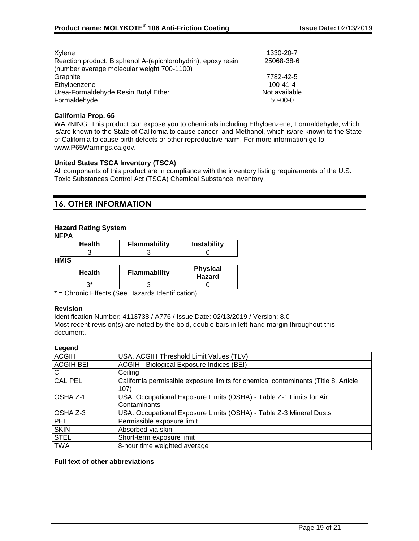| Xylene<br>Reaction product: Bisphenol A-(epichlorohydrin); epoxy resin<br>(number average molecular weight 700-1100) | 1330-20-7<br>25068-38-6 |
|----------------------------------------------------------------------------------------------------------------------|-------------------------|
| Graphite                                                                                                             | 7782-42-5               |
| Ethylbenzene                                                                                                         | $100 - 41 - 4$          |
| Urea-Formaldehyde Resin Butyl Ether                                                                                  | Not available           |
| Formaldehyde                                                                                                         | $50-00-0$               |

### **California Prop. 65**

WARNING: This product can expose you to chemicals including Ethylbenzene, Formaldehyde, which is/are known to the State of California to cause cancer, and Methanol, which is/are known to the State of California to cause birth defects or other reproductive harm. For more information go to www.P65Warnings.ca.gov.

### **United States TSCA Inventory (TSCA)**

All components of this product are in compliance with the inventory listing requirements of the U.S. Toxic Substances Control Act (TSCA) Chemical Substance Inventory.

# **16. OTHER INFORMATION**

### **Hazard Rating System**

| <b>Health</b> | <b>Flammability</b> | Instability                      |  |  |
|---------------|---------------------|----------------------------------|--|--|
|               |                     |                                  |  |  |
| HMIS          |                     |                                  |  |  |
| <b>Health</b> | <b>Flammability</b> | <b>Physical</b><br><b>Hazard</b> |  |  |
|               |                     |                                  |  |  |

\* = Chronic Effects (See Hazards Identification)

#### **Revision**

Identification Number: 4113738 / A776 / Issue Date: 02/13/2019 / Version: 8.0 Most recent revision(s) are noted by the bold, double bars in left-hand margin throughout this document.

#### **Legend**

| USA. ACGIH Threshold Limit Values (TLV)                                            |
|------------------------------------------------------------------------------------|
| ACGIH - Biological Exposure Indices (BEI)                                          |
| Ceiling                                                                            |
| California permissible exposure limits for chemical contaminants (Title 8, Article |
| 107)                                                                               |
| USA. Occupational Exposure Limits (OSHA) - Table Z-1 Limits for Air                |
| Contaminants                                                                       |
| USA. Occupational Exposure Limits (OSHA) - Table Z-3 Mineral Dusts                 |
| Permissible exposure limit                                                         |
| Absorbed via skin                                                                  |
| Short-term exposure limit                                                          |
| 8-hour time weighted average                                                       |
|                                                                                    |

### **Full text of other abbreviations**